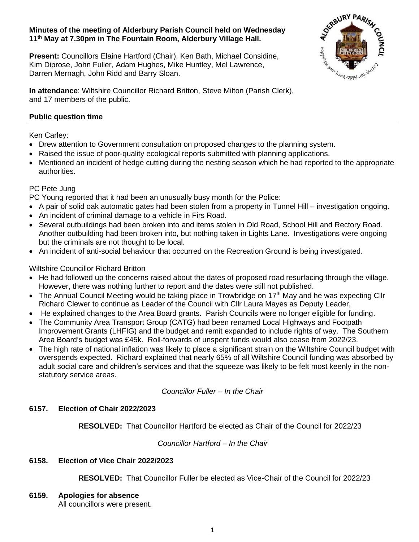## **Minutes of the meeting of Alderbury Parish Council held on Wednesday 11th May at 7.30pm in The Fountain Room, Alderbury Village Hall.**

**Present:** Councillors Elaine Hartford (Chair), Ken Bath, Michael Considine, Kim Diprose, John Fuller, Adam Hughes, Mike Huntley, Mel Lawrence, Darren Mernagh, John Ridd and Barry Sloan.



**In attendance**: Wiltshire Councillor Richard Britton, Steve Milton (Parish Clerk), and 17 members of the public.

# **Public question time**

Ken Carley:

- Drew attention to Government consultation on proposed changes to the planning system.
- Raised the issue of poor-quality ecological reports submitted with planning applications.
- Mentioned an incident of hedge cutting during the nesting season which he had reported to the appropriate authorities.

## PC Pete Jung

PC Young reported that it had been an unusually busy month for the Police:

- A pair of solid oak automatic gates had been stolen from a property in Tunnel Hill investigation ongoing.
- An incident of criminal damage to a vehicle in Firs Road.
- Several outbuildings had been broken into and items stolen in Old Road, School Hill and Rectory Road. Another outbuilding had been broken into, but nothing taken in Lights Lane. Investigations were ongoing but the criminals are not thought to be local.
- An incident of anti-social behaviour that occurred on the Recreation Ground is being investigated.

## Wiltshire Councillor Richard Britton

- He had followed up the concerns raised about the dates of proposed road resurfacing through the village. However, there was nothing further to report and the dates were still not published.
- The Annual Council Meeting would be taking place in Trowbridge on 17<sup>th</sup> May and he was expecting Cllr Richard Clewer to continue as Leader of the Council with Cllr Laura Mayes as Deputy Leader,
- He explained changes to the Area Board grants. Parish Councils were no longer eligible for funding.
- The Community Area Transport Group (CATG) had been renamed Local Highways and Footpath Improvement Grants (LHFIG) and the budget and remit expanded to include rights of way. The Southern Area Board's budget was £45k. Roll-forwards of unspent funds would also cease from 2022/23.
- The high rate of national inflation was likely to place a significant strain on the Wiltshire Council budget with overspends expected. Richard explained that nearly 65% of all Wiltshire Council funding was absorbed by adult social care and children's services and that the squeeze was likely to be felt most keenly in the nonstatutory service areas.

*Councillor Fuller – In the Chair*

## **6157. Election of Chair 2022/2023**

**RESOLVED:** That Councillor Hartford be elected as Chair of the Council for 2022/23

*Councillor Hartford – In the Chair*

## **6158. Election of Vice Chair 2022/2023**

**RESOLVED:** That Councillor Fuller be elected as Vice-Chair of the Council for 2022/23

**6159. Apologies for absence**

All councillors were present.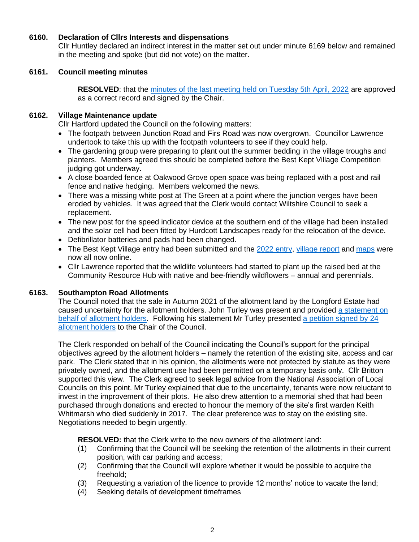## **6160. Declaration of Cllrs Interests and dispensations**

Cllr Huntley declared an indirect interest in the matter set out under minute 6169 below and remained in the meeting and spoke (but did not vote) on the matter.

### **6161. Council meeting minutes**

**RESOLVED:** that the [minutes of the last meeting held on Tuesday 5th April, 2022](http://www.alderburyparishcouncil.gov.uk/Meetings_Agendas__and__Minutes_34465.aspx) are approved as a correct record and signed by the Chair.

### **6162. Village Maintenance update**

Cllr Hartford updated the Council on the following matters:

- The footpath between Junction Road and Firs Road was now overgrown. Councillor Lawrence undertook to take this up with the footpath volunteers to see if they could help.
- The gardening group were preparing to plant out the summer bedding in the village troughs and planters. Members agreed this should be completed before the Best Kept Village Competition judging got underway.
- A close boarded fence at Oakwood Grove open space was being replaced with a post and rail fence and native hedging. Members welcomed the news.
- There was a missing white post at The Green at a point where the junction verges have been eroded by vehicles. It was agreed that the Clerk would contact Wiltshire Council to seek a replacement.
- The new post for the speed indicator device at the southern end of the village had been installed and the solar cell had been fitted by Hurdcott Landscapes ready for the relocation of the device.
- Defibrillator batteries and pads had been changed.
- The Best Kept Village entry had been submitted and the [2022 entry,](http://www.alderburyparishcouncil.gov.uk/_UserFiles/Files/Council%20documents/2022/2022%20Entry%20Form.pdf) [village report](http://www.alderburyparishcouncil.gov.uk/_UserFiles/Files/Council%20documents/2022/Report.pdf) and [maps](http://www.alderburyparishcouncil.gov.uk/_UserFiles/Files/Council%20documents/2022/2022%20BKV%20MAP.pdf) were now all now online.
- Cllr Lawrence reported that the wildlife volunteers had started to plant up the raised bed at the Community Resource Hub with native and bee-friendly wildflowers – annual and perennials.

#### **6163. Southampton Road Allotments**

The Council noted that the sale in Autumn 2021 of the allotment land by the Longford Estate had caused uncertainty for the allotment holders. John Turley was present and provided [a statement on](http://www.alderburyparishcouncil.gov.uk/_UserFiles/Files/Council%20documents/2022/Statement%20to%20Alderbury%20Parish%20Council%2011th%20May%202022.pdf)  [behalf of allotment holders.](http://www.alderburyparishcouncil.gov.uk/_UserFiles/Files/Council%20documents/2022/Statement%20to%20Alderbury%20Parish%20Council%2011th%20May%202022.pdf) Following his statement Mr Turley presented [a petition signed by 24](http://www.alderburyparishcouncil.gov.uk/_UserFiles/Files/Council%20documents/2022/Petition.pdf)  [allotment holders](http://www.alderburyparishcouncil.gov.uk/_UserFiles/Files/Council%20documents/2022/Petition.pdf) to the Chair of the Council.

The Clerk responded on behalf of the Council indicating the Council's support for the principal objectives agreed by the allotment holders – namely the retention of the existing site, access and car park. The Clerk stated that in his opinion, the allotments were not protected by statute as they were privately owned, and the allotment use had been permitted on a temporary basis only. Cllr Britton supported this view. The Clerk agreed to seek legal advice from the National Association of Local Councils on this point. Mr Turley explained that due to the uncertainty, tenants were now reluctant to invest in the improvement of their plots. He also drew attention to a memorial shed that had been purchased through donations and erected to honour the memory of the site's first warden Keith Whitmarsh who died suddenly in 2017. The clear preference was to stay on the existing site. Negotiations needed to begin urgently.

**RESOLVED:** that the Clerk write to the new owners of the allotment land:

- (1) Confirming that the Council will be seeking the retention of the allotments in their current position, with car parking and access;
- (2) Confirming that the Council will explore whether it would be possible to acquire the freehold;
- (3) Requesting a variation of the licence to provide 12 months' notice to vacate the land;
- (4) Seeking details of development timeframes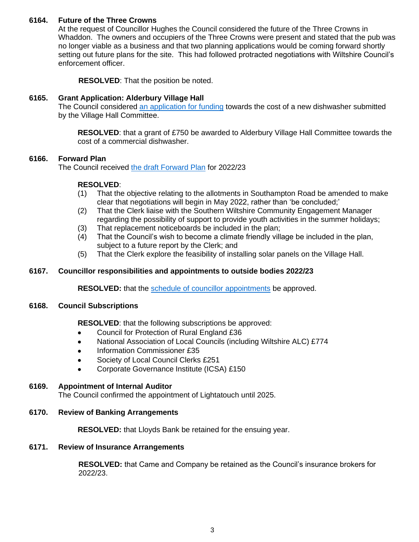## **6164. Future of the Three Crowns**

At the request of Councillor Hughes the Council considered the future of the Three Crowns in Whaddon. The owners and occupiers of the Three Crowns were present and stated that the pub was no longer viable as a business and that two planning applications would be coming forward shortly setting out future plans for the site. This had followed protracted negotiations with Wiltshire Council's enforcement officer.

**RESOLVED**: That the position be noted.

## **6165. Grant Application: Alderbury Village Hall**

The Council considered [an application for funding](http://www.alderburyparishcouncil.gov.uk/_UserFiles/Files/Council%20documents/2022/Application%20for%20Grant%20REDACTED.pdf) towards the cost of a new dishwasher submitted by the Village Hall Committee.

**RESOLVED**: that a grant of £750 be awarded to Alderbury Village Hall Committee towards the cost of a commercial dishwasher.

### **6166. Forward Plan**

The Council received [the draft Forward Plan](http://www.alderburyparishcouncil.gov.uk/_UserFiles/Files/Council%20documents/2022/Forward%20Plan%20-%20May%202022.pdf) for 2022/23

## **RESOLVED**:

- (1) That the objective relating to the allotments in Southampton Road be amended to make clear that negotiations will begin in May 2022, rather than 'be concluded;'
- (2) That the Clerk liaise with the Southern Wiltshire Community Engagement Manager regarding the possibility of support to provide youth activities in the summer holidays;
- (3) That replacement noticeboards be included in the plan;
- (4) That the Council's wish to become a climate friendly village be included in the plan, subject to a future report by the Clerk; and
- (5) That the Clerk explore the feasibility of installing solar panels on the Village Hall.

## **6167. Councillor responsibilities and appointments to outside bodies 2022/23**

**RESOLVED:** that the [schedule of councillor appointments](http://www.alderburyparishcouncil.gov.uk/_UserFiles/Files/Council%20documents/2022/Councillor%20Appointments%20Approved.pdf) be approved.

#### **6168. Council Subscriptions**

**RESOLVED**: that the following subscriptions be approved:

- Council for Protection of Rural England £36
- National Association of Local Councils (including Wiltshire ALC) £774
- Information Commissioner £35
- Society of Local Council Clerks £251
- Corporate Governance Institute (ICSA) £150

#### **6169. Appointment of Internal Auditor**

The Council confirmed the appointment of Lightatouch until 2025.

#### **6170. Review of Banking Arrangements**

**RESOLVED:** that Lloyds Bank be retained for the ensuing year.

#### **6171. Review of Insurance Arrangements**

**RESOLVED:** that Came and Company be retained as the Council's insurance brokers for 2022/23.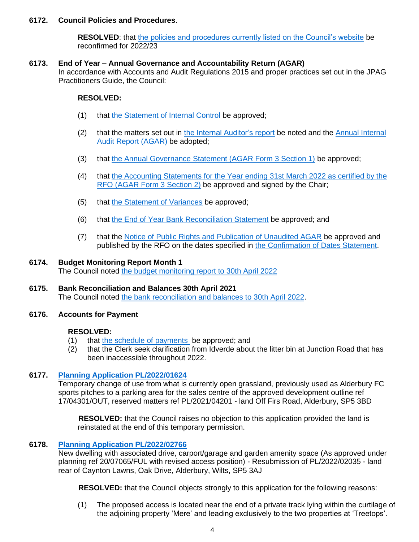## **6172. Council Policies and Procedures**.

**RESOLVED:** that [the policies and procedures currently listed on the Council's website](http://www.alderburyparishcouncil.gov.uk/Policy__and__Documents_34466.aspx) be reconfirmed for 2022/23

### **6173. End of Year – Annual Governance and Accountability Return (AGAR)**

In accordance with Accounts and Audit Regulations 2015 and proper practices set out in the JPAG Practitioners Guide, the Council:

## **RESOLVED:**

- (1) that [the Statement of Internal Control](http://www.alderburyparishcouncil.gov.uk/_UserFiles/Files/Policy%20and%20Documents/New%20Policies/06%20Internal%20Control%20V2.pdf) be approved;
- (2) that the matters set out in [the Internal Auditor's report](http://www.alderburyparishcouncil.gov.uk/_UserFiles/Files/Council%20documents/2022/AGAR%20-%20Internal%20Audit%20Report%202021-2022.pdf) be noted and the Annual Internal [Audit Report \(AGAR\)](http://www.alderburyparishcouncil.gov.uk/_UserFiles/Files/Council%20documents/2022/AGAR%20-%20Internal%20Audit%20Statement.pdf) be adopted;
- (3) that [the Annual Governance Statement \(AGAR Form 3 Section 1\)](http://www.alderburyparishcouncil.gov.uk/_UserFiles/Files/Accounts/2022/AGAR%20-%20Section%201%202021-22.pdf) be approved;
- (4) that [the Accounting Statements for the Year ending 31st March 2022 as certified by the](http://www.alderburyparishcouncil.gov.uk/_UserFiles/Files/Accounts/2022/AGAR%20-%20Section%202%202021-22.pdf)  [RFO \(AGAR Form 3 Section 2\)](http://www.alderburyparishcouncil.gov.uk/_UserFiles/Files/Accounts/2022/AGAR%20-%20Section%202%202021-22.pdf) be approved and signed by the Chair;
- (5) that [the Statement of Variances](http://www.alderburyparishcouncil.gov.uk/_UserFiles/Files/Accounts/2022/APC%20Statement%20of%20Variances%20and%20Explanantion%20of%20Blalances.pdf) be approved;
- (6) that [the End of Year Bank Reconciliation Statement](http://www.alderburyparishcouncil.gov.uk/_UserFiles/Files/Accounts/2022/APC%20Bank%20Reconciliation%2031-3-22.pdf) be approved; and
- (7) that the [Notice of Public Rights and Publication of Unaudited AGAR](http://www.alderburyparishcouncil.gov.uk/_UserFiles/Files/Council%20documents/2022/AGAR%20-%20EoPR%20Unaudited%20Accounts.pdf) be approved and published by the RFO on the dates specified in [the Confirmation of Dates Statement.](http://www.alderburyparishcouncil.gov.uk/_UserFiles/Files/Council%20documents/2022/AGAR%20-%20Confirmation%20of%20Dates%20of%20Public%20Rights.pdf)

## **6174. Budget Monitoring Report Month 1**

The Council noted [the budget monitoring report to 30th April 2022](http://www.alderburyparishcouncil.gov.uk/_UserFiles/Files/Accounts/2022/BM_2002_04.pdf)

## **6175. Bank Reconciliation and Balances 30th April 2021** The Council noted [the bank reconciliation and balances to 30th April 2022.](http://www.alderburyparishcouncil.gov.uk/_UserFiles/Files/Accounts/2022/2022-04.PDF)

#### **6176. Accounts for Payment**

#### **RESOLVED:**

- (1) that [the schedule of payments](http://www.alderburyparishcouncil.gov.uk/_UserFiles/Files/Accounts/2022/Schedule%20-%202022-05%20V2.pdf) be approved; and
- (2) that the Clerk seek clarification from Idverde about the litter bin at Junction Road that has been inaccessible throughout 2022.

## **6177. [Planning Application PL/2022/01624](https://development.wiltshire.gov.uk/pr/s/planning-application/a0i3z000017SzFYAA0)**

Temporary change of use from what is currently open grassland, previously used as Alderbury FC sports pitches to a parking area for the sales centre of the approved development outline ref 17/04301/OUT, reserved matters ref PL/2021/04201 - land Off Firs Road, Alderbury, SP5 3BD

**RESOLVED:** that the Council raises no objection to this application provided the land is reinstated at the end of this temporary permission.

## **6178. [Planning Application PL/2022/02766](https://development.wiltshire.gov.uk/pr/s/planning-application/a0i3z0000183Is6AAE)**

New dwelling with associated drive, carport/garage and garden amenity space (As approved under planning ref 20/07065/FUL with revised access position) - Resubmission of PL/2022/02035 - land rear of Caynton Lawns, Oak Drive, Alderbury, Wilts, SP5 3AJ

**RESOLVED:** that the Council objects strongly to this application for the following reasons:

(1) The proposed access is located near the end of a private track lying within the curtilage of the adjoining property 'Mere' and leading exclusively to the two properties at 'Treetops'.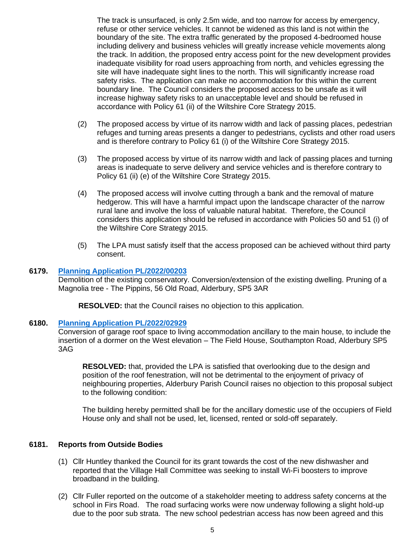The track is unsurfaced, is only 2.5m wide, and too narrow for access by emergency, refuse or other service vehicles. It cannot be widened as this land is not within the boundary of the site. The extra traffic generated by the proposed 4-bedroomed house including delivery and business vehicles will greatly increase vehicle movements along the track. In addition, the proposed entry access point for the new development provides inadequate visibility for road users approaching from north, and vehicles egressing the site will have inadequate sight lines to the north. This will significantly increase road safety risks. The application can make no accommodation for this within the current boundary line. The Council considers the proposed access to be unsafe as it will increase highway safety risks to an unacceptable level and should be refused in accordance with Policy 61 (ii) of the Wiltshire Core Strategy 2015.

- (2) The proposed access by virtue of its narrow width and lack of passing places, pedestrian refuges and turning areas presents a danger to pedestrians, cyclists and other road users and is therefore contrary to Policy 61 (i) of the Wiltshire Core Strategy 2015.
- (3) The proposed access by virtue of its narrow width and lack of passing places and turning areas is inadequate to serve delivery and service vehicles and is therefore contrary to Policy 61 (ii) (e) of the Wiltshire Core Strategy 2015.
- (4) The proposed access will involve cutting through a bank and the removal of mature hedgerow. This will have a harmful impact upon the landscape character of the narrow rural lane and involve the loss of valuable natural habitat. Therefore, the Council considers this application should be refused in accordance with Policies 50 and 51 (i) of the Wiltshire Core Strategy 2015.
- (5) The LPA must satisfy itself that the access proposed can be achieved without third party consent.

### **6179. [Planning Application PL/2022/00203](https://development.wiltshire.gov.uk/pr/s/planning-application/a0i3z000017DMCi)**

Demolition of the existing conservatory. Conversion/extension of the existing dwelling. Pruning of a Magnolia tree - The Pippins, 56 Old Road, Alderbury, SP5 3AR

**RESOLVED:** that the Council raises no objection to this application.

#### **6180. [Planning Application PL/2022/02929](https://development.wiltshire.gov.uk/pr/s/planning-application/a0i3z0000183X8S)**

Conversion of garage roof space to living accommodation ancillary to the main house, to include the insertion of a dormer on the West elevation – The Field House, Southampton Road, Alderbury SP5 3AG

**RESOLVED:** that, provided the LPA is satisfied that overlooking due to the design and position of the roof fenestration, will not be detrimental to the enjoyment of privacy of neighbouring properties, Alderbury Parish Council raises no objection to this proposal subject to the following condition:

The building hereby permitted shall be for the ancillary domestic use of the occupiers of Field House only and shall not be used, let, licensed, rented or sold-off separately.

#### **6181. Reports from Outside Bodies**

- (1) Cllr Huntley thanked the Council for its grant towards the cost of the new dishwasher and reported that the Village Hall Committee was seeking to install Wi-Fi boosters to improve broadband in the building.
- (2) Cllr Fuller reported on the outcome of a stakeholder meeting to address safety concerns at the school in Firs Road. The road surfacing works were now underway following a slight hold-up due to the poor sub strata. The new school pedestrian access has now been agreed and this